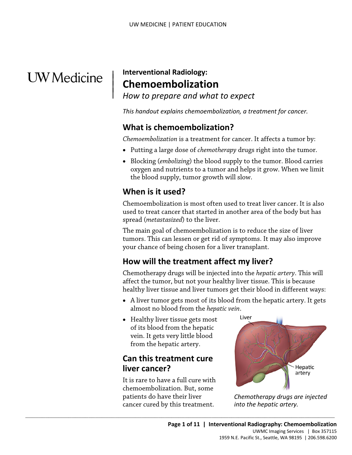# **UW** Medicine

 $\vert$  $\parallel$ 

## | **Interventional Radiology: Chemoembolization**

*How to prepare and what to expect* 

 *This handout explains chemoembolization, a treatment for cancer.* 

## **What is chemoembolization?**

*Chemoembolization* is a treatment for cancer. It affects a tumor by:

- Putting a large dose of *chemotherapy* drugs right into the tumor.
- the blood supply, tumor growth will slow. • Blocking (*embolizing*) the blood supply to the tumor. Blood care oxygen and nutrients to a tumor and helps it grow. When we the blood supply, tumor growth will slow.<br> **When is it used?**<br> **Chemoembolization is most ofte** • Blocking (*embolizing*) the blood supply to the tumor. Blood carries oxygen and nutrients to a tumor and helps it grow. When we limit

## **When is it used?**

Chemoembolization is most often used to treat liver cancer. It is also used to treat cancer that started in another area of the body but has spread (*metastasized*) to the liver.

The main goal of chemoembolization is to reduce the size of liver tumors. This can lessen or get rid of symptoms. It may also improve your chance of being chosen for a liver transplant.

## **How will the treatment affect my liver?**

 Chemotherapy drugs will be injected into the *hepatic artery*. This will healthy liver tissue and liver tumors get their blood in different ways: affect the tumor, but not your healthy liver tissue. This is because

- almost no blood from the *hepatic vein*. • A liver tumor gets most of its blood from the hepatic artery. It gets
- Healthy liver tissue gets most of its blood from the hepatic vein. It gets very little blood from the hepatic artery.

## **Can this treatment cure liver cancer?**

cancer cured by this treatment. It is rare to have a full cure with chemoembolization. But, some patients do have their liver

 $\_$  , and the set of the set of the set of the set of the set of the set of the set of the set of the set of the set of the set of the set of the set of the set of the set of the set of the set of the set of the set of th



Chemotherapy drugs are injected *into the hepatic artery.*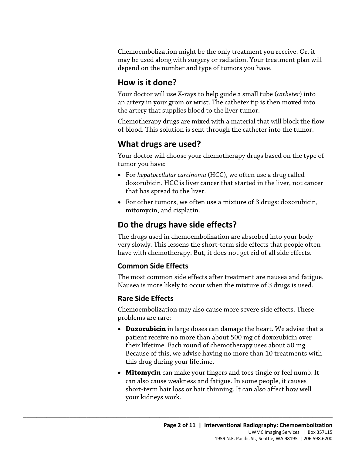Chemoembolization might be the only treatment you receive. Or, it may be used along with surgery or radiation. Your treatment plan will depend on the number and type of tumors you have.

## **How is it done?**

Your doctor will use X-rays to help guide a small tube (*catheter*) into an artery in your groin or wrist. The catheter tip is then moved into the artery that supplies blood to the liver tumor.

Chemotherapy drugs are mixed with a material that will block the flow of blood. This solution is sent through the catheter into the tumor.

## **What drugs are used?**

Your doctor will choose your chemotherapy drugs based on the type of tumor you have:

- For *hepatocellular carcinoma* (HCC), we often use a drug called<br>doxorubicin. HCC is liver cancer that started in the liver, not can<br>that has spread to the liver.<br>• For other tumors, we often use a mixture of 3 drugs: do • For *hepatocellular carcinoma* (HCC), we often use a drug called doxorubicin. HCC is liver cancer that started in the liver, not cancer that has spread to the liver.
	- For other tumors, we often use a mixture of 3 drugs: doxorubicin, mitomycin, and cisplatin.

## **Do the drugs have side effects?**

 $\_$  ,  $\_$  ,  $\_$  ,  $\_$  ,  $\_$  ,  $\_$  ,  $\_$  ,  $\_$  ,  $\_$  ,  $\_$  ,  $\_$  ,  $\_$  ,  $\_$  ,  $\_$  ,  $\_$  ,  $\_$  ,  $\_$  ,  $\_$  ,  $\_$  ,  $\_$  ,  $\_$  ,  $\_$  ,  $\_$  ,  $\_$  ,  $\_$  ,  $\_$  ,  $\_$  ,  $\_$  ,  $\_$  ,  $\_$  ,  $\_$  ,  $\_$  ,  $\_$  ,  $\_$  ,  $\_$  ,  $\_$  ,  $\_$  ,

The drugs used in chemoembolization are absorbed into your body very slowly. This lessens the short-term side effects that people often have with chemotherapy. But, it does not get rid of all side effects.

#### **Common Side Effects**

 The most common side effects after treatment are nausea and fatigue. Nausea is more likely to occur when the mixture of 3 drugs is used.

#### **Rare Side Effects**

Chemoembolization may also cause more severe side effects. These problems are rare:

- **Doxorubicin** in large doses can damage the heart. We advise that a patient receive no more than about 500 mg of doxorubicin over their lifetime. Each round of chemotherapy uses about 50 mg. Because of this, we advise having no more than 10 treatments with this drug during your lifetime.
- your kidneys work. • **Mitomycin** can make your fingers and toes tingle or feel numb. It can also cause weakness and fatigue. In some people, it causes short-term hair loss or hair thinning. It can also affect how well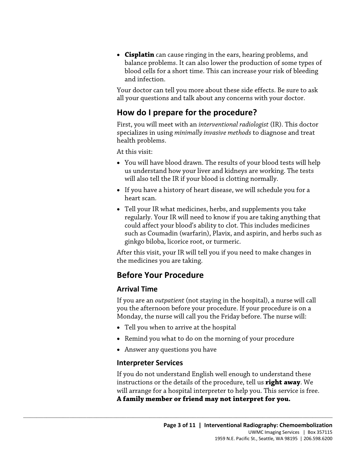• **Cisplatin** can cause ringing in the ears, hearing problems, and balance problems. It can also lower the production of some types of blood cells for a short time. This can increase your risk of bleeding and infection.

Your doctor can tell you more about these side effects. Be sure to ask all your questions and talk about any concerns with your doctor.

## **How do I prepare for the procedure?**

First, you will meet with an *interventional radiologist* (IR). This doctor specializes in using *minimally invasive methods* to diagnose and treat health problems.

At this visit:

- You will have blood drawn. The results of your blood tests will help us understand how your liver and kidneys are working. The tests will also tell the IR if your blood is clotting normally.
- heart scan. • If you have a history of heart disease, we will schedule you for a
- Tod will have blood drawn. The results of your blood tests will held us understand how your liver and kidneys are working. The tests will also tell the IR if your blood is clotting normally.<br>
 If you have a history of hea • Tell your IR what medicines, herbs, and supplements you take regularly. Your IR will need to know if you are taking anything that could affect your blood's ability to clot. This includes medicines such as Coumadin (warfarin), Plavix, and aspirin, and herbs such as ginkgo biloba, licorice root, or turmeric.

 After this visit, your IR will tell you if you need to make changes in the medicines you are taking.

## **Before Your Procedure**

#### **Arrival Time**

 If you are an *outpatient* (not staying in the hospital), a nurse will call you the afternoon before your procedure. If your procedure is on a Monday, the nurse will call you the Friday before. The nurse will:

• Tell you when to arrive at the hospital

 $\_$  ,  $\_$  ,  $\_$  ,  $\_$  ,  $\_$  ,  $\_$  ,  $\_$  ,  $\_$  ,  $\_$  ,  $\_$  ,  $\_$  ,  $\_$  ,  $\_$  ,  $\_$  ,  $\_$  ,  $\_$  ,  $\_$  ,  $\_$  ,  $\_$  ,  $\_$  ,  $\_$  ,  $\_$  ,  $\_$  ,  $\_$  ,  $\_$  ,  $\_$  ,  $\_$  ,  $\_$  ,  $\_$  ,  $\_$  ,  $\_$  ,  $\_$  ,  $\_$  ,  $\_$  ,  $\_$  ,  $\_$  ,  $\_$  ,

- Remind you what to do on the morning of your procedure
- Answer any questions you have

#### **Interpreter Services**

If you do not understand English well enough to understand these instructions or the details of the procedure, tell us **right away**. We will arrange for a hospital interpreter to help you. This service is free. **A family member or friend may not interpret for you.**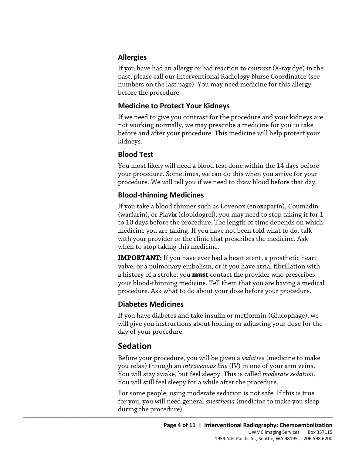#### **Allergies**

If you have had an allergy or bad reaction to *contrast* (X-ray dye) in the past, please call our Interventional Radiology Nurse Coordinator (see numbers on the last page). You may need medicine for this allergy before the procedure.

#### **Medicine to Protect Your Kidneys**

If we need to give you contrast for the procedure and your kidneys are not working normally, we may prescribe a medicine for you to take before and after your procedure. This medicine will help protect your kidneys.

## **Blood Test**

You most likely will need a blood test done within the 14 days before your procedure. Sometimes, we can do this when you arrive for your procedure. We will tell you if we need to draw blood before that day.

#### **Blood-thinning Medicines**

You most likely will need a blood test done within the 14 days befor<br>your procedure. Sometimes, we can do this when you arrive for you<br>procedure. We will tell you if we need to draw blood before that day<br>**Blood-thinning Me** If you take a blood thinner such as Lovenox (enoxaparin), Coumadin (warfarin), or Plavix (clopidogrel), you may need to stop taking it for 1 to 10 days before the procedure. The length of time depends on which medicine you are taking. If you have not been told what to do, talk with your provider or the clinic that prescribes the medicine. Ask when to stop taking this medicine.

> **IMPORTANT:** If you have ever had a heart stent, a prosthetic heart valve, or a pulmonary embolism, or if you have atrial fibrillation with a history of a stroke, you **must** contact the provider who prescribes your blood-thinning medicine. Tell them that you are having a medical procedure. Ask what to do about your dose before your procedure.

#### **Diabetes Medicines**

If you have diabetes and take insulin or metformin (Glucophage), we will give you instructions about holding or adjusting your dose for the day of your procedure.

## **Sedation**

Before your procedure, you will be given a *sedative* (medicine to make you relax) through an *intravenous line* (IV) in one of your arm veins. You will stay awake, but feel sleepy. This is called *moderate sedation*. You will still feel sleepy for a while after the procedure.

For some people, using moderate sedation is not safe. If this is true for you, you will need general *anesthesia* (medicine to make you sleep during the procedure).

 $\_$  , and the set of the set of the set of the set of the set of the set of the set of the set of the set of the set of the set of the set of the set of the set of the set of the set of the set of the set of the set of th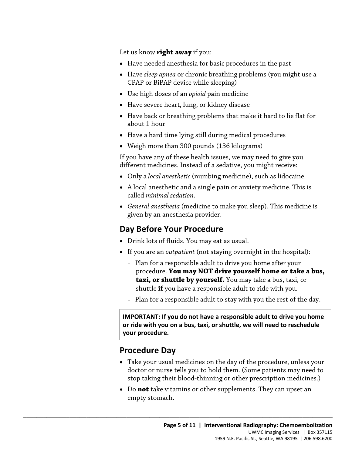Let us know **right away** if you:

- Have needed anesthesia for basic procedures in the past
- Have *sleep apnea* or chronic breathing problems (you might use a CPAP or BiPAP device while sleeping)
- Use high doses of an *opioid* pain medicine
- Have severe heart, lung, or kidney disease
- Have back or breathing problems that make it hard to lie flat for about 1 hour
- Have a hard time lying still during medical procedures
- Weigh more than 300 pounds (136 kilograms)

If you have any of these health issues, we may need to give you different medicines. Instead of a sedative, you might receive:

- Only a *local anesthetic* (numbing medicine), such as lidocaine.
- A local anesthetic and a single pain or anxiety medicine. This is called *minimal sedation*.
- different medicines. Instead of a sedative, you might receive:<br>
 Only a *local anesthetic* (numbing medicine), such as lidocaine.<br>
 A local anesthetic and a single pain or anxiety medicine. This is<br>
called *minimal sedat* • *General anesthesia* (medicine to make you sleep). This medicine is given by an anesthesia provider.

#### **Day Before Your Procedure**

• Drink lots of fluids. You may eat as usual.

 $\_$  ,  $\_$  ,  $\_$  ,  $\_$  ,  $\_$  ,  $\_$  ,  $\_$  ,  $\_$  ,  $\_$  ,  $\_$  ,  $\_$  ,  $\_$  ,  $\_$  ,  $\_$  ,  $\_$  ,  $\_$  ,  $\_$  ,  $\_$  ,  $\_$  ,  $\_$  ,  $\_$  ,  $\_$  ,  $\_$  ,  $\_$  ,  $\_$  ,  $\_$  ,  $\_$  ,  $\_$  ,  $\_$  ,  $\_$  ,  $\_$  ,  $\_$  ,  $\_$  ,  $\_$  ,  $\_$  ,  $\_$  ,  $\_$  ,

- • If you are an *outpatient* (not staying overnight in the hospital):
	- procedure. **You may NOT drive yourself home or take a bus,**  – Plan for a responsible adult to drive you home after your **taxi, or shuttle by yourself.** You may take a bus, taxi, or shuttle **if** you have a responsible adult to ride with you.
	- Plan for a responsible adult to stay with you the rest of the day.

 **or ride with you on a bus, taxi, or shuttle, we will need to reschedule IMPORTANT: If you do not have a responsible adult to drive you home your procedure.** 

#### **Procedure Day**

- doctor or nurse tells you to hold them. (Some patients may need to • Take your usual medicines on the day of the procedure, unless your stop taking their blood-thinning or other prescription medicines.)
- • Do **not** take vitamins or other supplements. They can upset an empty stomach.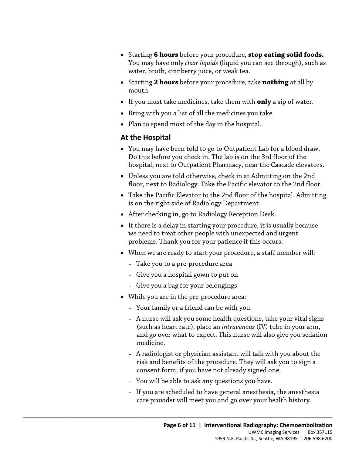- Starting **6 hours** before your procedure, **stop eating solid foods.**  You may have only *clear liquids* (liquid you can see through), such as water, broth, cranberry juice, or weak tea.
- Starting **2 hours** before your procedure, take **nothing** at all by mouth.
- If you must take medicines, take them with **only** a sip of water.
- Bring with you a list of all the medicines you take.
- Plan to spend most of the day in the hospital.

#### **At the Hospital**

- You may have been told to go to Outpatient Lab for a blood draw. Do this before you check in. The lab is on the 3rd floor of the hospital, next to Outpatient Pharmacy, near the Cascade elevators.
- Unless you are told otherwise, check in at Admitting on the 2nd floor, next to Radiology. Take the Pacific elevator to the 2nd floor.
- All hospital, next to Outpatient Pharmacy, near the Cascade elevator<br>
 Unless you are told otherwise, check in at Admitting on the 2nd<br>
floor, next to Radiology. Take the Pacific elevator to the 2nd floor<br>
 Take the Paci • Take the Pacific Elevator to the 2nd floor of the hospital. Admitting is on the right side of Radiology Department.
	- After checking in, go to Radiology Reception Desk.
	- we need to treat other people with unexpected and urgent • If there is a delay in starting your procedure, it is usually because problems. Thank you for your patience if this occurs.
	- When we are ready to start your procedure, a staff member will:
		- Take you to a pre-procedure area
		- Give you a hospital gown to put on
		- Give you a bag for your belongings
	- While you are in the pre-procedure area:

- Your family or a friend can be with you.
- and go over what to expect. This nurse will also give you sedation – A nurse will ask you some health questions, take your vital signs (such as heart rate), place an *intravenous* (IV) tube in your arm, medicine.
- A radiologist or physician assistant will talk with you about the risk and benefits of the procedure. They will ask you to sign a consent form, if you have not already signed one.
- You will be able to ask any questions you have.
- If you are scheduled to have general anesthesia, the anesthesia care provider will meet you and go over your health history.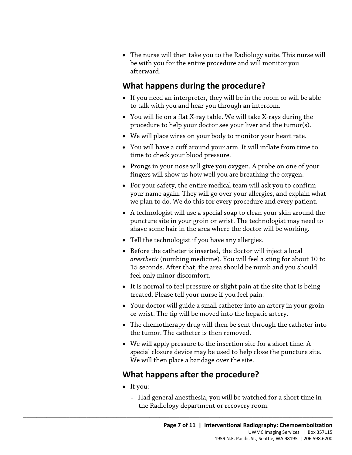• The nurse will then take you to the Radiology suite. This nurse will be with you for the entire procedure and will monitor you afterward.

## **What happens during the procedure?**

- If you need an interpreter, they will be in the room or will be able to talk with you and hear you through an intercom.
- You will lie on a flat X-ray table. We will take X-rays during the procedure to help your doctor see your liver and the tumor(s).
- We will place wires on your body to monitor your heart rate.
- • You will have a cuff around your arm. It will inflate from time to time to check your blood pressure.
- Prongs in your nose will give you oxygen. A probe on one of your fingers will show us how well you are breathing the oxygen.
- Prongs in your nose will give you oxygen. A probe on one of you fingers will show us how well you are breathing the oxygen.<br>• For your safety, the entire medical team will ask you to confirm your name again. They will go • For your safety, the entire medical team will ask you to confirm your name again. They will go over your allergies, and explain what we plan to do. We do this for every procedure and every patient.
	- shave some hair in the area where the doctor will be working. • A technologist will use a special soap to clean your skin around the puncture site in your groin or wrist. The technologist may need to
	- Tell the technologist if you have any allergies.
	- *anesthetic* (numbing medicine). You will feel a sting for about 10 to • Before the catheter is inserted, the doctor will inject a local 15 seconds. After that, the area should be numb and you should feel only minor discomfort.
	- It is normal to feel pressure or slight pain at the site that is being treated. Please tell your nurse if you feel pain.
	- Your doctor will guide a small catheter into an artery in your groin or wrist. The tip will be moved into the hepatic artery.
	- The chemotherapy drug will then be sent through the catheter into the tumor. The catheter is then removed.
	- We will apply pressure to the insertion site for a short time. A special closure device may be used to help close the puncture site. We will then place a bandage over the site.

## **What happens after the procedure?**

- If you:
	- Had general anesthesia, you will be watched for a short time in the Radiology department or recovery room.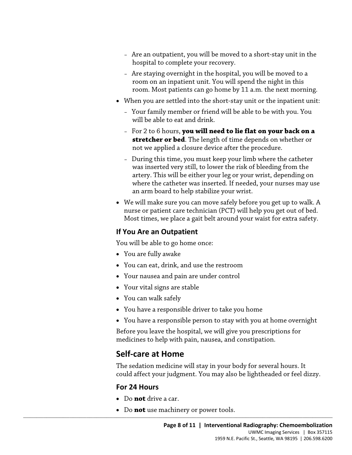- Are an outpatient, you will be moved to a short-stay unit in the hospital to complete your recovery.
- – Are staying overnight in the hospital, you will be moved to a room. Most patients can go home by 11 a.m. the next morning. room on an inpatient unit. You will spend the night in this
- When you are settled into the short-stay unit or the inpatient unit:
	- Your family member or friend will be able to be with you. You will be able to eat and drink.
	- For 2 to 6 hours, **you will need to lie flat on your back on a stretcher or bed**. The length of time depends on whether or not we applied a closure device after the procedure.
- was inserted very still, to lower the risk of bleeding from the<br>artery. This will be either your leg or your wrist, depending on<br>where the catheter was inserted. If needed, your nurses may us<br>an arm board to help stabilize – During this time, you must keep your limb where the catheter was inserted very still, to lower the risk of bleeding from the artery. This will be either your leg or your wrist, depending on where the catheter was inserted. If needed, your nurses may use an arm board to help stabilize your wrist.
	- We will make sure you can move safely before you get up to walk. A nurse or patient care technician (PCT) will help you get out of bed. Most times, we place a gait belt around your waist for extra safety.

#### **If You Are an Outpatient**

You will be able to go home once:

- You are fully awake
- You can eat, drink, and use the restroom
- Your nausea and pain are under control
- Your vital signs are stable
- You can walk safely
- You have a responsible driver to take you home
- You have a responsible person to stay with you at home overnight

Before you leave the hospital, we will give you prescriptions for medicines to help with pain, nausea, and constipation.

## **Self-care at Home**

 could affect your judgment. You may also be lightheaded or feel dizzy. The sedation medicine will stay in your body for several hours. It

#### **For 24 Hours**

- Do **not** drive a car.
- $\_$  , and the set of the set of the set of the set of the set of the set of the set of the set of the set of the set of the set of the set of the set of the set of the set of the set of the set of the set of the set of th • Do **not** use machinery or power tools.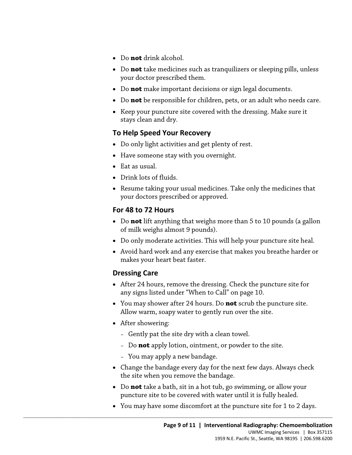- Do **not** drink alcohol.
- Do **not** take medicines such as tranquilizers or sleeping pills, unless your doctor prescribed them.
- Do **not** make important decisions or sign legal documents.
- Do **not** be responsible for children, pets, or an adult who needs care.
- Keep your puncture site covered with the dressing. Make sure it stays clean and dry.

#### **To Help Speed Your Recovery**

- Do only light activities and get plenty of rest.
- Have someone stay with you overnight.
- Eat as usual.
- Drink lots of fluids.
- Resume taking your usual medicines. Take only the medicines that your doctors prescribed or approved.

#### **For 48 to 72 Hours**

- of milk weighs almost 9 pounds). - Eat as usual.<br>
- Drink lots of fluids.<br>
- Resume taking your usual medicines. Take only the medicines that<br>
your doctors prescribed or approved.<br>
- Do **not** lift anything that weighs more than 5 to 10 pounds (a galloc of • Do **not** lift anything that weighs more than 5 to 10 pounds (a gallon
	- Do only moderate activities. This will help your puncture site heal.
	- Avoid hard work and any exercise that makes you breathe harder or makes your heart beat faster.

#### **Dressing Care**

- • After 24 hours, remove the dressing. Check the puncture site for any signs listed under "When to Call" on page 10.
- • You may shower after 24 hours. Do **not** scrub the puncture site. Allow warm, soapy water to gently run over the site.
- After showering:
	- Gently pat the site dry with a clean towel.
	- Do **not** apply lotion, ointment, or powder to the site.
	- You may apply a new bandage.

- Change the bandage every day for the next few days. Always check the site when you remove the bandage.
- Do **not** take a bath, sit in a hot tub, go swimming, or allow your puncture site to be covered with water until it is fully healed.
- You may have some discomfort at the puncture site for 1 to 2 days.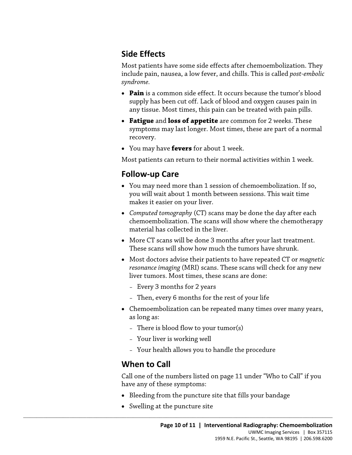## **Side Effects**

 include pain, nausea, a low fever, and chills. This is called *post-embolic*  Most patients have some side effects after chemoembolization. They *syndrome.* 

- any tissue. Most times, this pain can be treated with pain pills. • **Pain** is a common side effect. It occurs because the tumor's blood supply has been cut off. Lack of blood and oxygen causes pain in
- • **Fatigue** and **loss of appetite** are common for 2 weeks. These recovery. symptoms may last longer. Most times, these are part of a normal
- You may have **fevers** for about 1 week.

Most patients can return to their normal activities within 1 week.

## **Follow-up Care**

- **Follow-up Care**<br>
 You may need more than 1 session of chemoembolization. If so,<br>
you will wait about 1 month between sessions. This wait time<br>
makes it easier on your liver.<br>
 Computed tomography (CT) scans may be done • You may need more than 1 session of chemoembolization. If so, you will wait about 1 month between sessions. This wait time makes it easier on your liver.
	- *Computed tomography* (CT) scans may be done the day after each chemoembolization. The scans will show where the chemotherapy material has collected in the liver.
	- More CT scans will be done 3 months after your last treatment. These scans will show how much the tumors have shrunk.
	- Most doctors advise their patients to have repeated CT or *magnetic resonance imaging* (MRI) scans. These scans will check for any new liver tumors. Most times, these scans are done:
		- Every 3 months for 2 years
		- Then, every 6 months for the rest of your life
	- Chemoembolization can be repeated many times over many years, as long as:
		- There is blood flow to your tumor(s)
		- Your liver is working well
		- Your health allows you to handle the procedure

## **When to Call**

Call one of the numbers listed on page 11 under "Who to Call" if you have any of these symptoms:

- Bleeding from the puncture site that fills your bandage
- Swelling at the puncture site